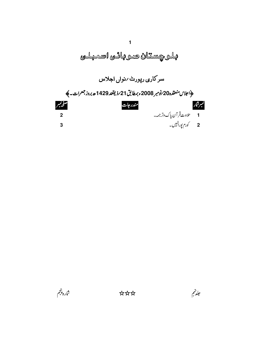

شاره پنجم

جلدتهم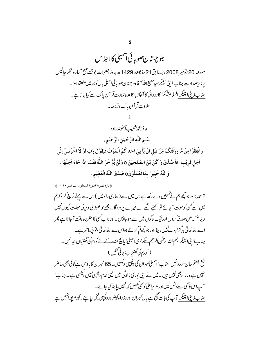بلو چیتان صویائی آمبلی کااجلاس مورنيه 20 برنومبر 2008ء بيطابق21 بزيقعد 1429 ھ بروز جمعرات بوقت ضبح گيارہ بجگر جاليس برز برصدارت جناب ڈیٹی اسپیکرسید مطیع اللہ آغابلوچیتان صوبائی اسمبلی ہال کوئٹہ میں منعقد ہوا۔ جناب ڈپٹی ایپکیر :السلام کیم ! کارروائی کا آغاز با قاعدہ تلاوت قر آن پاک سے کیاجا تاہے۔ تلاوت قرآن پاک دتر جمہ۔ حافظ محمرشعيب آخوندزاده بسُم اللّٰهِ الرَّحۡمٰنِ الرَّحِيۡمِۦ وَاَنْفِقُوا مِنْ مَّا رَزَقْنِكُمْ مِّنْ قَبُلِ اَنْ يَّا تِيَ اَحَدَ كُمُ الْمَوُتُ فَيَقُوُلَ رَبّ لَوْ لَا اَخْرُتَنِيٓ اِلْي اَجَلٍ قَرِيْبٍ لَا صَّدَّقَ وَاكُنُ مِّنَ الصَّلِحِيُنَ 0 وَلَنُ يُّوَّ خِّرَ اللَّهُ نَفُسًا إِذَا جَآءَ اَجَلُهَا ء وَاللَّهُ خَبِيْرُ ' بِمَا تَعُمَلُوُ نَ0 صَدَقَ اللَّهُ الْعَظِيْمِ ء ﴿ پاره نمبر ٢٨سورةالمنفقون آيت نمبر • ١ . ١١﴾ تر جمہ:اور جو پچھ ہم نے تہہیں دےرکھا ہےاس میں سے (ہماری راہ میں )اس سے پہلے خرچ کر وکہ تم میں سے کسی کوموت آ جائے تو کہنے گے اے میرے پروردگار! مجھے تو تھوڑی دیر کی مہلت کیوں نہیں دیتا؟ کہ میں صدقہ کروں اور نیک لوگوں میں سے ہوجاؤں ۔اور جب سی کا مقررہ وقت آ جا تا ہے پھر ا سےاللہ تعالیٰ ہرگزمہات نہیں دیتا،اور جو کچھ کرتے ہواس سےاللہ تعالیٰ بخو پی باخبر ہے۔ جناب ڈیٹی ایپیکر : بسم اللہ الرحلن الرحیم سیکرٹری اسمبلی! یا نچ منٹ کے لئے کورم کی گھنٹیاں بجا ئمیں۔ ( کورم کی گھنٹیاں بجائی گئیں ) شخ جعفرخان مندوخیل: جناب!سمبلیممبران کی دلچپیی دیکھیں۔65 ممبران کا ہاؤس ہےکوئی بھی حاضر نہیں ہے وز راءبھی نہیں ہیں ۔ **می**ں نے ابنی بوری زندگی میں ایسی عدم دلچیپی *نہی*ں دیکھی ہے ۔ جناب! آ پاس کاتختی سےنوٹس لیں اوروز پراعلیٰ کوبھی کھیں کہ نہیں یا بند کیا جائے۔ جناب ڈیٹی ایپیکر : آ پ کی بات صحیح ہے ہاں ممبران اوروز راءکوضر وردلچپی لینی جا ہئے ۔کورم پورانہیں ہے